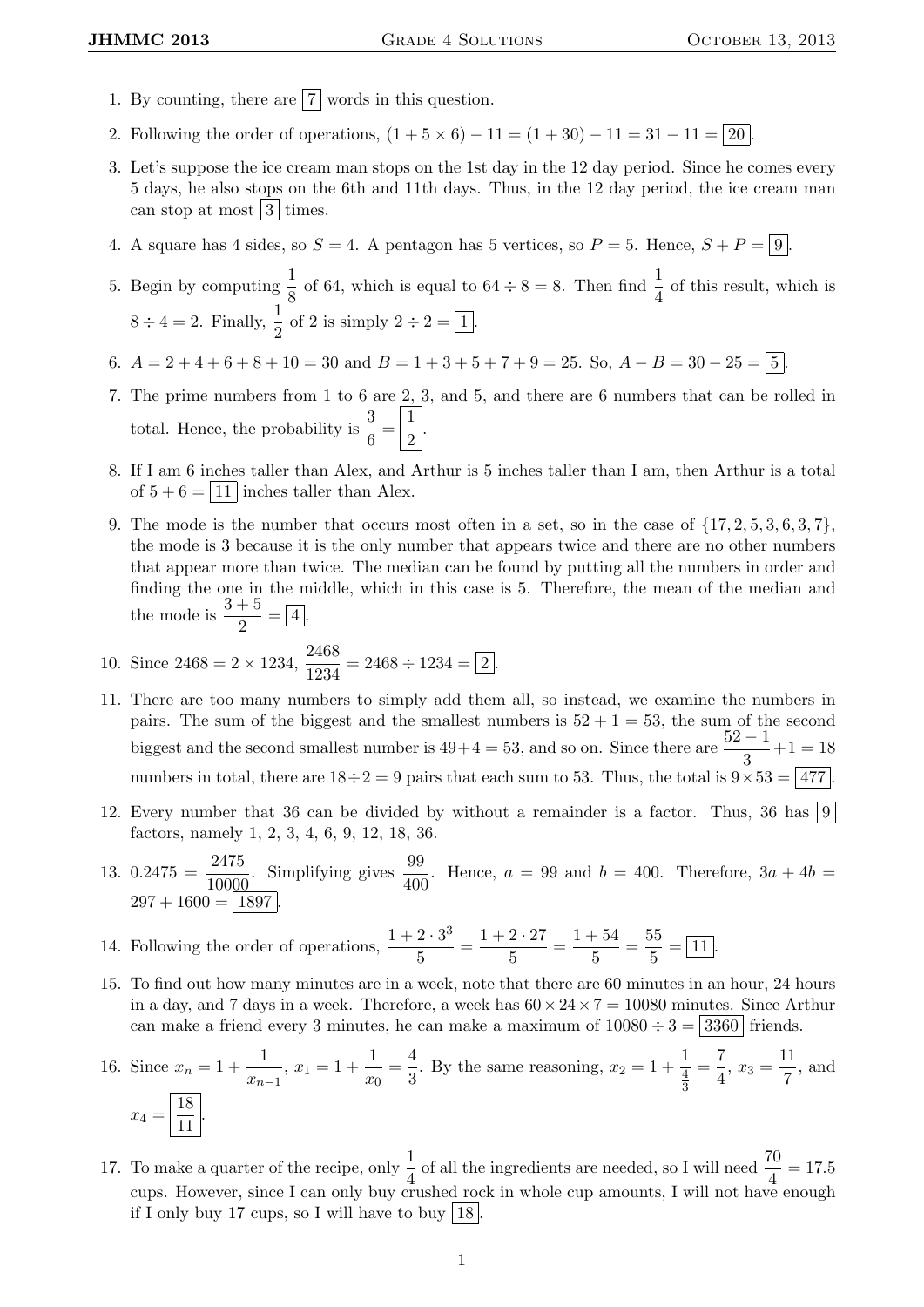- 1. By counting, there are  $\boxed{7}$  words in this question.
- 2. Following the order of operations,  $(1 + 5 \times 6) 11 = (1 + 30) 11 = 31 11 = 20$
- 3. Let's suppose the ice cream man stops on the 1st day in the 12 day period. Since he comes every 5 days, he also stops on the 6th and 11th days. Thus, in the 12 day period, the ice cream man can stop at most  $3 \times 3$  times.
- 4. A square has 4 sides, so  $S = 4$ . A pentagon has 5 vertices, so  $P = 5$ . Hence,  $S + P = \boxed{9}$ .
- 5. Begin by computing  $\frac{1}{8}$  of 64, which is equal to  $64 \div 8 = 8$ . Then find  $\frac{1}{4}$  of this result, which is  $8 \div 4 = 2$ . Finally,  $\frac{1}{2}$  of 2 is simply  $2 \div 2 = \boxed{1}$ .
- 6.  $A = 2 + 4 + 6 + 8 + 10 = 30$  and  $B = 1 + 3 + 5 + 7 + 9 = 25$ . So,  $A B = 30 25 = \boxed{5}$ .
- 7. The prime numbers from 1 to 6 are 2, 3, and 5, and there are 6 numbers that can be rolled in total. Hence, the probability is  $\frac{3}{6} = \left| \frac{1}{2} \right|$  $\frac{1}{2}$ .
- 8. If I am 6 inches taller than Alex, and Arthur is 5 inches taller than I am, then Arthur is a total of  $5 + 6 = 11$  inches taller than Alex.
- 9. The mode is the number that occurs most often in a set, so in the case of  $\{17, 2, 5, 3, 6, 3, 7\}$ , the mode is 3 because it is the only number that appears twice and there are no other numbers that appear more than twice. The median can be found by putting all the numbers in order and finding the one in the middle, which in this case is 5. Therefore, the mean of the median and the mode is  $\frac{3+5}{2} = \boxed{4}$ .

10. Since 
$$
2468 = 2 \times 1234
$$
,  $\frac{2468}{1234} = 2468 \div 1234 = 2$ .

- 11. There are too many numbers to simply add them all, so instead, we examine the numbers in pairs. The sum of the biggest and the smallest numbers is  $52 + 1 = 53$ , the sum of the second biggest and the second smallest number is  $49+4=53$ , and so on. Since there are  $\frac{52-1}{3}+1=18$ numbers in total, there are  $18 \div 2 = 9$  pairs that each sum to 53. Thus, the total is  $9 \times 53 = |477|$
- 12. Every number that 36 can be divided by without a remainder is a factor. Thus, 36 has  $|9|$ factors, namely 1, 2, 3, 4, 6, 9, 12, 18, 36.
- 13. 0.2475 =  $\frac{2475}{10000}$ . Simplifying gives  $\frac{99}{400}$ . Hence,  $a = 99$  and  $b = 400$ . Therefore,  $3a + 4b =$  $297 + 1600 = 1897$
- 14. Following the order of operations,  $\frac{1+2\cdot 3^3}{5}$  $rac{2 \cdot 3^3}{5} = \frac{1 + 2 \cdot 27}{5}$  $\frac{2 \cdot 27}{5} = \frac{1+54}{5}$  $\frac{+54}{5} = \frac{55}{5}$  $\frac{2}{5} = \boxed{11}.$
- 15. To find out how many minutes are in a week, note that there are 60 minutes in an hour, 24 hours in a day, and 7 days in a week. Therefore, a week has  $60 \times 24 \times 7 = 10080$  minutes. Since Arthur can make a friend every 3 minutes, he can make a maximum of  $10080 \div 3 = |3360|$  friends.

16. Since 
$$
x_n = 1 + \frac{1}{x_{n-1}}
$$
,  $x_1 = 1 + \frac{1}{x_0} = \frac{4}{3}$ . By the same reasoning,  $x_2 = 1 + \frac{1}{\frac{4}{3}} = \frac{7}{4}$ ,  $x_3 = \frac{11}{7}$ , and  $x_4 = \boxed{\frac{18}{11}}$ .

17. To make a quarter of the recipe, only  $\frac{1}{4}$  of all the ingredients are needed, so I will need  $\frac{70}{4} = 17.5$ cups. However, since I can only buy crushed rock in whole cup amounts, I will not have enough if I only buy 17 cups, so I will have to buy  $\boxed{18}$ .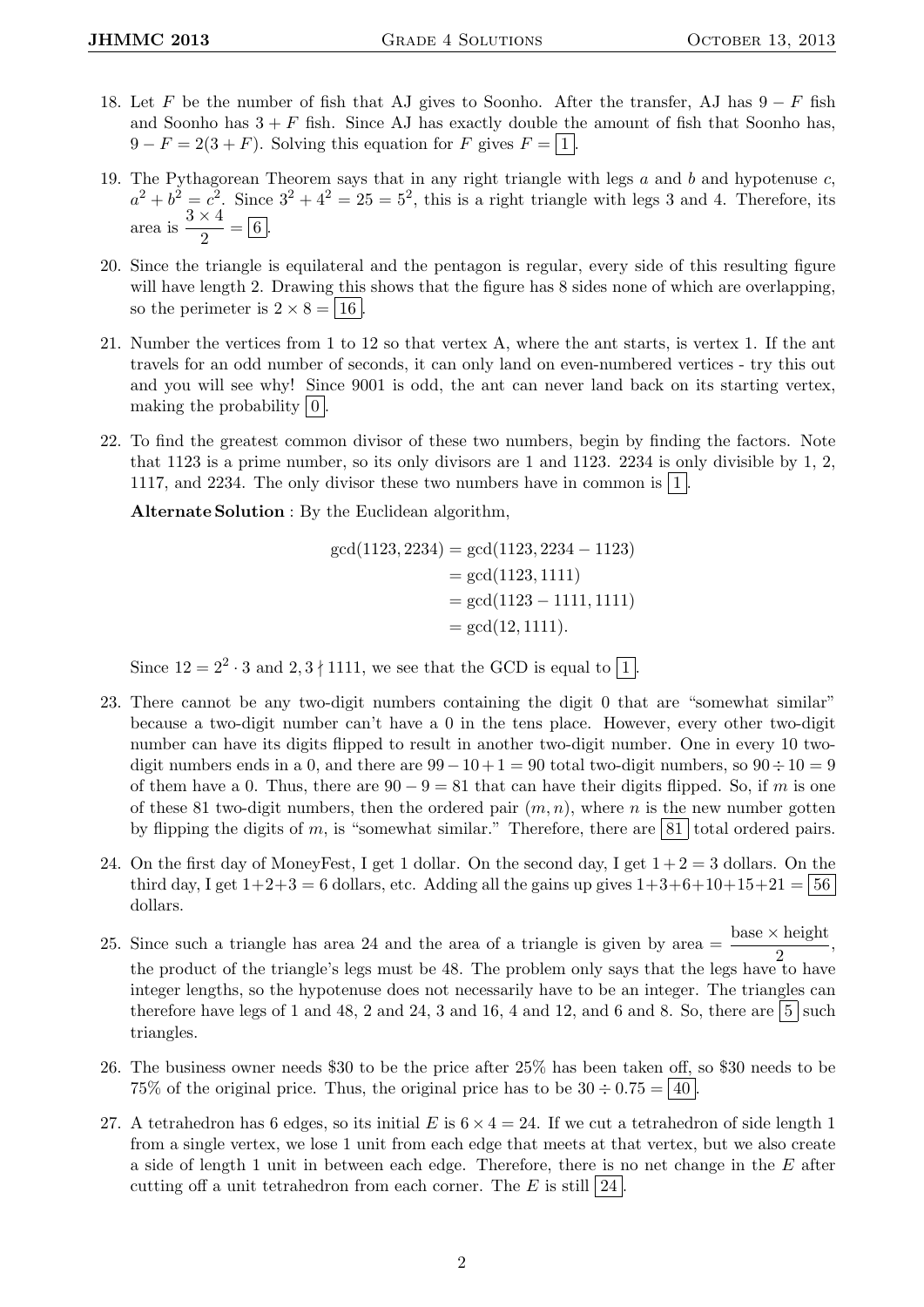- 18. Let F be the number of fish that AJ gives to Soonho. After the transfer, AJ has  $9-F$  fish and Soonho has  $3 + F$  fish. Since AJ has exactly double the amount of fish that Soonho has,  $9 - F = 2(3 + F)$ . Solving this equation for F gives  $F = \boxed{1}$ .
- 19. The Pythagorean Theorem says that in any right triangle with legs  $a$  and  $b$  and hypotenuse  $c$ ,  $a^2 + b^2 = c^2$ . Since  $3^2 + 4^2 = 25 = 5^2$ , this is a right triangle with legs 3 and 4. Therefore, its area is  $\frac{3 \times 4}{2}$  $\frac{x}{2} = 6$ .
- 20. Since the triangle is equilateral and the pentagon is regular, every side of this resulting figure will have length 2. Drawing this shows that the figure has 8 sides none of which are overlapping. so the perimeter is  $2 \times 8 = |16|$ .
- 21. Number the vertices from 1 to 12 so that vertex A, where the ant starts, is vertex 1. If the ant travels for an odd number of seconds, it can only land on even-numbered vertices - try this out and you will see why! Since 9001 is odd, the ant can never land back on its starting vertex, making the probability  $|0|$ .
- 22. To find the greatest common divisor of these two numbers, begin by finding the factors. Note that 1123 is a prime number, so its only divisors are 1 and 1123. 2234 is only divisible by 1, 2, 1117, and 2234. The only divisor these two numbers have in common is  $|1|$ .

Alternate Solution : By the Euclidean algorithm,

$$
gcd(1123, 2234) = gcd(1123, 2234 - 1123)
$$
  
= gcd(1123, 1111)  
= gcd(1123 - 1111, 1111)  
= gcd(12, 1111).

Since  $12 = 2^2 \cdot 3$  and  $2, 3 \nmid 1111$ , we see that the GCD is equal to  $\boxed{1}$ .

- 23. There cannot be any two-digit numbers containing the digit 0 that are "somewhat similar" because a two-digit number can't have a 0 in the tens place. However, every other two-digit number can have its digits flipped to result in another two-digit number. One in every 10 twodigit numbers ends in a 0, and there are  $99-10+1=90$  total two-digit numbers, so  $90 \div 10=9$ of them have a 0. Thus, there are  $90 - 9 = 81$  that can have their digits flipped. So, if m is one of these 81 two-digit numbers, then the ordered pair  $(m, n)$ , where n is the new number gotten by flipping the digits of m, is "somewhat similar." Therefore, there are  $\boxed{81}$  total ordered pairs.
- 24. On the first day of MoneyFest, I get 1 dollar. On the second day, I get  $1+2=3$  dollars. On the third day, I get  $1+2+3 = 6$  dollars, etc. Adding all the gains up gives  $1+3+6+10+15+21 = 56$ dollars.
- 25. Since such a triangle has area 24 and the area of a triangle is given by area  $=\frac{\text{base} \times \text{height}}{2}$ , the product of the triangle's legs must be 48. The problem only says that the legs have to have integer lengths, so the hypotenuse does not necessarily have to be an integer. The triangles can therefore have legs of 1 and 48, 2 and 24, 3 and 16, 4 and 12, and 6 and 8. So, there are  $\vert 5 \vert$  such triangles.
- 26. The business owner needs \$30 to be the price after 25% has been taken off, so \$30 needs to be 75% of the original price. Thus, the original price has to be  $30 \div 0.75 = |40|$ .
- 27. A tetrahedron has 6 edges, so its initial E is  $6 \times 4 = 24$ . If we cut a tetrahedron of side length 1 from a single vertex, we lose 1 unit from each edge that meets at that vertex, but we also create a side of length 1 unit in between each edge. Therefore, there is no net change in the E after cutting off a unit tetrahedron from each corner. The  $E$  is still  $|24|$ .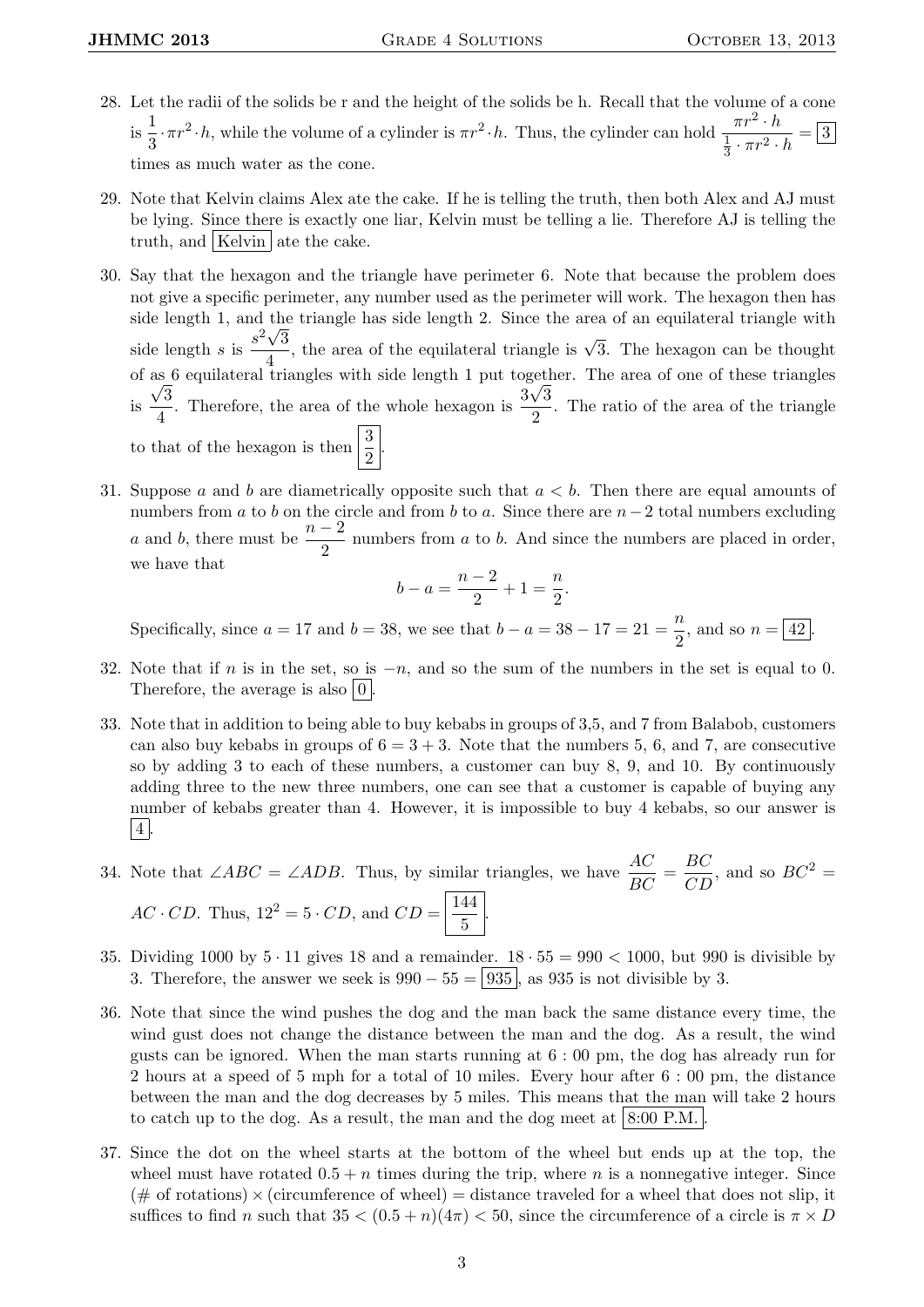- 28. Let the radii of the solids be r and the height of the solids be h. Recall that the volume of a cone  $\frac{1}{18}$  $\frac{1}{3} \cdot \pi r^2 \cdot h$ , while the volume of a cylinder is  $\pi r^2 \cdot h$ . Thus, the cylinder can hold  $\frac{\pi r^2 \cdot h}{\frac{1}{3} \cdot \pi r^2}$ . 1  $\frac{\pi}{3} \cdot \pi r^2 \cdot h = 3$ times as much water as the cone.
- 29. Note that Kelvin claims Alex ate the cake. If he is telling the truth, then both Alex and AJ must be lying. Since there is exactly one liar, Kelvin must be telling a lie. Therefore AJ is telling the truth, and Kelvin ate the cake.
- 30. Say that the hexagon and the triangle have perimeter 6. Note that because the problem does not give a specific perimeter, any number used as the perimeter will work. The hexagon then has side length 1, and the triangle has side length 2. Since the area of an equilateral triangle with side length s is  $\frac{s^2\sqrt{3}}{4}$  $\frac{\sqrt{3}}{4}$ , the area of the equilateral triangle is  $\sqrt{3}$ . The hexagon can be thought of as 6 equilateral triangles with side length 1 put together. The area of one of these triangles is  $\frac{\sqrt{3}}{4}$  $\frac{\sqrt{3}}{4}$ . Therefore, the area of the whole hexagon is  $\frac{3\sqrt{3}}{2}$  $\frac{\sqrt{6}}{2}$ . The ratio of the area of the triangle to that of the hexagon is then  $\left|\frac{3}{2}\right|$ .
- 31. Suppose a and b are diametrically opposite such that  $a < b$ . Then there are equal amounts of numbers from a to b on the circle and from b to a. Since there are  $n-2$  total numbers excluding a and b, there must be  $\frac{n-2}{2}$  numbers from a to b. And since the numbers are placed in order, we have that

$$
b - a = \frac{n-2}{2} + 1 = \frac{n}{2}.
$$

Specifically, since  $a = 17$  and  $b = 38$ , we see that  $b - a = 38 - 17 = 21 = \frac{m}{2}$  $\frac{n}{2}$ , and so  $n = \boxed{42}$ .

- 32. Note that if n is in the set, so is  $-n$ , and so the sum of the numbers in the set is equal to 0. Therefore, the average is also  $|0|$
- 33. Note that in addition to being able to buy kebabs in groups of 3,5, and 7 from Balabob, customers can also buy kebabs in groups of  $6 = 3 + 3$ . Note that the numbers 5, 6, and 7, are consecutive so by adding 3 to each of these numbers, a customer can buy 8, 9, and 10. By continuously adding three to the new three numbers, one can see that a customer is capable of buying any number of kebabs greater than 4. However, it is impossible to buy 4 kebabs, so our answer is  $|4|$ .
- 34. Note that ∠*ABC* = ∠*ADB*. Thus, by similar triangles, we have  $\frac{AC}{BC} = \frac{BC}{CD}$ , and so  $BC^2 =$  $AC \cdot CD$ . Thus,  $12^2 = 5 \cdot CD$ , and  $CD = \frac{144}{5}$  $\frac{1}{5}$
- 35. Dividing 1000 by  $5 \cdot 11$  gives 18 and a remainder.  $18 \cdot 55 = 990 < 1000$ , but 990 is divisible by 3. Therefore, the answer we seek is  $990 - 55 = 935$ , as 935 is not divisible by 3.
- 36. Note that since the wind pushes the dog and the man back the same distance every time, the wind gust does not change the distance between the man and the dog. As a result, the wind gusts can be ignored. When the man starts running at  $6:00 \text{ pm}$ , the dog has already run for 2 hours at a speed of 5 mph for a total of 10 miles. Every hour after 6 : 00 pm, the distance between the man and the dog decreases by 5 miles. This means that the man will take 2 hours to catch up to the dog. As a result, the man and the dog meet at  $8:00$  P.M.
- 37. Since the dot on the wheel starts at the bottom of the wheel but ends up at the top, the wheel must have rotated  $0.5 + n$  times during the trip, where n is a nonnegative integer. Since  $(\# \text{ of rotations}) \times (\text{circumference of wheel}) = \text{distance traveled}$  for a wheel that does not slip, it suffices to find n such that  $35 < (0.5 + n)(4\pi) < 50$ , since the circumference of a circle is  $\pi \times D$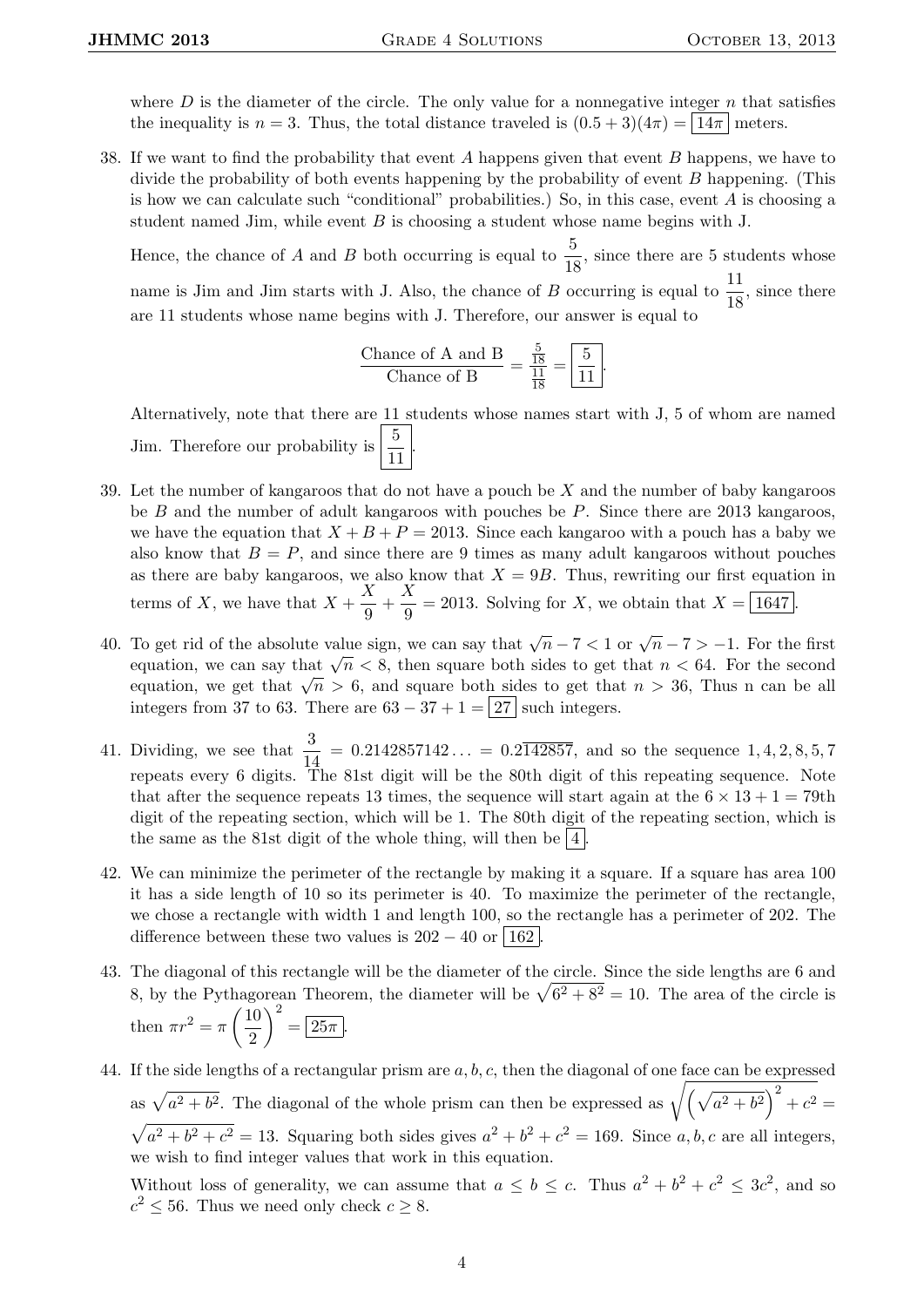where  $D$  is the diameter of the circle. The only value for a nonnegative integer  $n$  that satisfies the inequality is  $n = 3$ . Thus, the total distance traveled is  $(0.5 + 3)(4\pi) = |14\pi|$  meters.

38. If we want to find the probability that event A happens given that event B happens, we have to divide the probability of both events happening by the probability of event B happening. (This is how we can calculate such "conditional" probabilities.) So, in this case, event  $A$  is choosing a student named Jim, while event  $B$  is choosing a student whose name begins with J.

Hence, the chance of A and B both occurring is equal to  $\frac{5}{18}$ , since there are 5 students whose name is Jim and Jim starts with J. Also, the chance of B occurring is equal to  $\frac{11}{18}$ , since there are 11 students whose name begins with J. Therefore, our answer is equal to

$$
\frac{\text{Change of A and B}}{\text{Change of B}} = \frac{\frac{5}{18}}{\frac{11}{18}} = \boxed{\frac{5}{11}}.
$$

Alternatively, note that there are 11 students whose names start with J, 5 of whom are named Jim. Therefore our probability is  $\frac{5}{11}$ .

- 39. Let the number of kangaroos that do not have a pouch be  $X$  and the number of baby kangaroos be  $B$  and the number of adult kangaroos with pouches be  $P$ . Since there are 2013 kangaroos, we have the equation that  $X + B + P = 2013$ . Since each kangaroo with a pouch has a baby we also know that  $B = P$ , and since there are 9 times as many adult kangaroos without pouches as there are baby kangaroos, we also know that  $X = 9B$ . Thus, rewriting our first equation in terms of X, we have that  $X + \frac{X}{2}$  $\frac{X}{9}+\frac{X}{9}$  $\frac{\Delta}{9}$  = 2013. Solving for X, we obtain that  $X = \boxed{1647}$ .
- 40. To get rid of the absolute value sign, we can say that  $\sqrt{n} 7 < 1$  or  $\sqrt{n} 7 > -1$ . For the first Fo get rid of the absolute value sign, we can say that  $\sqrt{n} - i \le 1$  or  $\sqrt{n} - i \ge -1$ . For the mst equation, we can say that  $\sqrt{n} < 8$ , then square both sides to get that  $n < 64$ . For the second equation, we can say that  $\sqrt{n} > 6$ , then square both sides to get that  $n < 64$ . For the second equation, we get that  $\sqrt{n} > 6$ , and square both sides to get that  $n > 36$ . Thus n can be all integers from 37 to 63. There are  $63 - 37 + 1 = 27$  such integers.
- 41. Dividing, we see that  $\frac{3}{14} = 0.2142857142... = 0.2\overline{142857}$ , and so the sequence 1, 4, 2, 8, 5, 7 repeats every 6 digits. The 81st digit will be the 80th digit of this repeating sequence. Note that after the sequence repeats 13 times, the sequence will start again at the  $6 \times 13 + 1 = 79$ th digit of the repeating section, which will be 1. The 80th digit of the repeating section, which is the same as the 81st digit of the whole thing, will then be  $|4|$ .
- 42. We can minimize the perimeter of the rectangle by making it a square. If a square has area 100 it has a side length of 10 so its perimeter is 40. To maximize the perimeter of the rectangle, we chose a rectangle with width 1 and length 100, so the rectangle has a perimeter of 202. The difference between these two values is  $202 - 40$  or  $\vert 162 \vert$
- 43. The diagonal of this rectangle will be the diameter of the circle. Since the side lengths are 6 and 8, by the Pythagorean Theorem, the diameter will be  $\sqrt{6^2 + 8^2} = 10$ . The area of the circle is then  $\pi r^2 = \pi \left(\frac{10}{2}\right)$ 2  $\bigg\}^2 = \boxed{25\pi}.$
- 44. If the side lengths of a rectangular prism are  $a, b, c$ , then the diagonal of one face can be expressed as  $\sqrt{a^2 + b^2}$ . The diagonal of the whole prism can then be expressed as  $\sqrt{(\sqrt{a^2 + b^2})^2 + c^2}$  $\sqrt{a^2 + b^2 + c^2} = 13$ . Squaring both sides gives  $a^2 + b^2 + c^2 = 169$ . Since a, b, c are all integers, we wish to find integer values that work in this equation.

Without loss of generality, we can assume that  $a \leq b \leq c$ . Thus  $a^2 + b^2 + c^2 \leq 3c^2$ , and so  $c^2 \leq 56$ . Thus we need only check  $c \geq 8$ .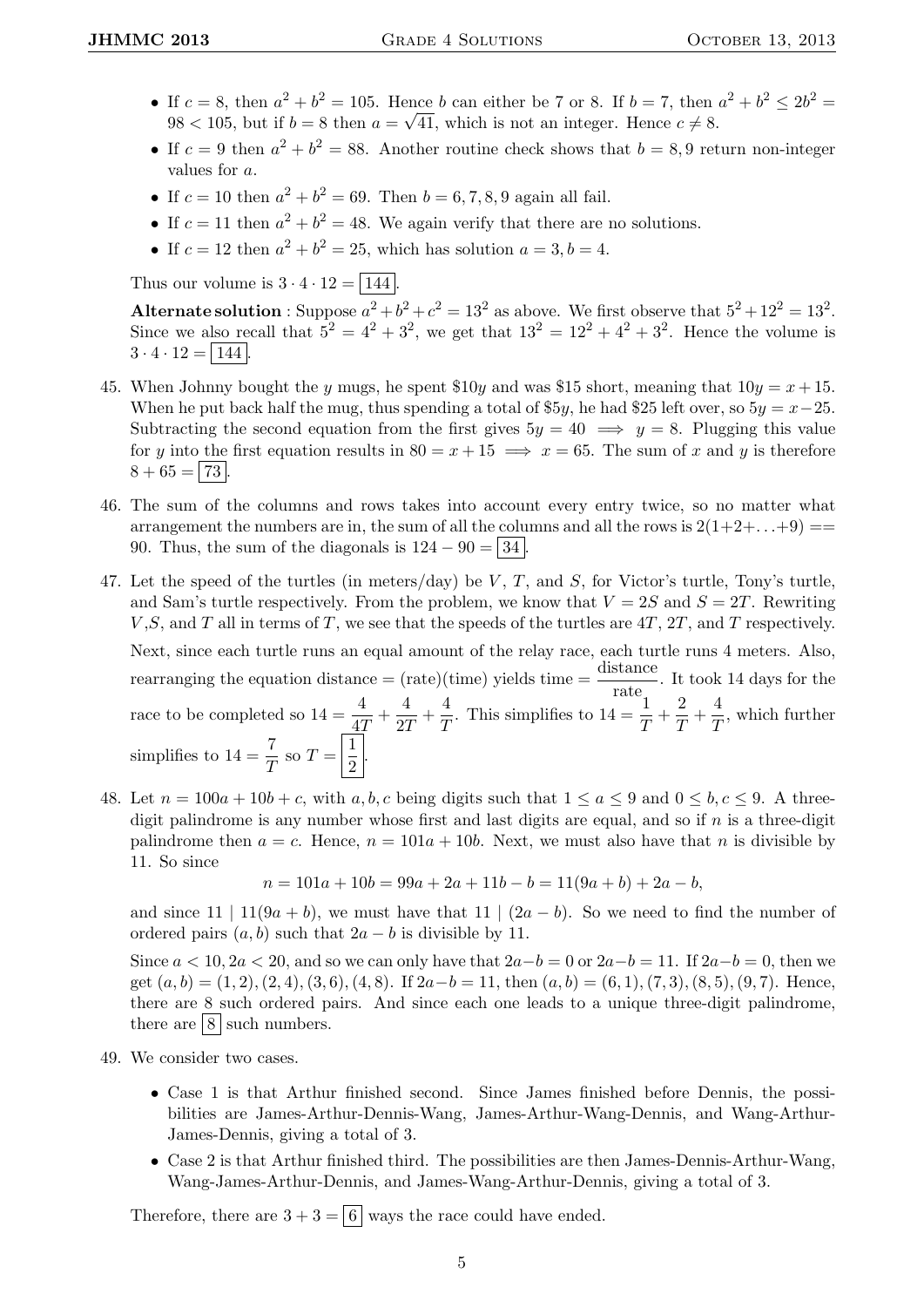- If  $c = 8$ , then  $a^2 + b^2 = 105$ . Hence b can either be 7 or 8. If  $b = 7$ , then  $a^2 + b^2 \le 2b^2 = 105$ .  $98 < 105$ , but if  $b = 8$  then  $a = \sqrt{41}$ , which is not an integer. Hence  $c \neq 8$ .
- If  $c = 9$  then  $a^2 + b^2 = 88$ . Another routine check shows that  $b = 8, 9$  return non-integer values for a.
- If  $c = 10$  then  $a^2 + b^2 = 69$ . Then  $b = 6, 7, 8, 9$  again all fail.
- If  $c = 11$  then  $a^2 + b^2 = 48$ . We again verify that there are no solutions.
- If  $c = 12$  then  $a^2 + b^2 = 25$ , which has solution  $a = 3, b = 4$ .

Thus our volume is  $3 \cdot 4 \cdot 12 = \boxed{144}$ .

Alternate solution : Suppose  $a^2 + b^2 + c^2 = 13^2$  as above. We first observe that  $5^2 + 12^2 = 13^2$ . Since we also recall that  $5^2 = 4^2 + 3^2$ , we get that  $13^2 = 12^2 + 4^2 + 3^2$ . Hence the volume is  $3 \cdot 4 \cdot 12 = |144|$ .

- 45. When Johnny bought the y mugs, he spent  $$10y$  and was  $$15$  short, meaning that  $10y = x + 15$ . When he put back half the mug, thus spending a total of \$5y, he had \$25 left over, so  $5y = x-25$ . Subtracting the second equation from the first gives  $5y = 40 \implies y = 8$ . Plugging this value for y into the first equation results in  $80 = x + 15 \implies x = 65$ . The sum of x and y is therefore  $8 + 65 = 73$ .
- 46. The sum of the columns and rows takes into account every entry twice, so no matter what arrangement the numbers are in, the sum of all the columns and all the rows is  $2(1+2+\ldots+9)$  == 90. Thus, the sum of the diagonals is  $124 - 90 = |34|$ .
- 47. Let the speed of the turtles (in meters/day) be V, T, and S, for Victor's turtle, Tony's turtle, and Sam's turtle respectively. From the problem, we know that  $V = 2S$  and  $S = 2T$ . Rewriting  $V, S$ , and T all in terms of T, we see that the speeds of the turtles are  $4T, 2T,$  and T respectively. Next, since each turtle runs an equal amount of the relay race, each turtle runs 4 meters. Also, rearranging the equation distance =  $(\text{rate})(\text{time})$  yields time =  $\frac{\text{distance}}{\text{rate}}$ . It took 14 days for the race to be completed so  $14 = \frac{4}{4T} + \frac{4}{2T}$  $\frac{4}{2T} + \frac{4}{T}$  $\frac{4}{T}$ . This simplifies to  $14 = \frac{1}{T} + \frac{2}{T}$  $\frac{2}{T} + \frac{4}{T}$  $\frac{1}{T}$ , which further simplifies to  $14 = \frac{7}{T}$  so  $T = \frac{1}{2}$  $\frac{1}{2}$ .
- 48. Let  $n = 100a + 10b + c$ , with a, b, c being digits such that  $1 \le a \le 9$  and  $0 \le b, c \le 9$ . A threedigit palindrome is any number whose first and last digits are equal, and so if  $n$  is a three-digit palindrome then  $a = c$ . Hence,  $n = 101a + 10b$ . Next, we must also have that n is divisible by 11. So since

 $n = 101a + 10b = 99a + 2a + 11b - b = 11(9a + b) + 2a - b,$ 

and since 11 | 11(9a + b), we must have that 11 |  $(2a - b)$ . So we need to find the number of ordered pairs  $(a, b)$  such that  $2a - b$  is divisible by 11.

Since  $a < 10$ ,  $2a < 20$ , and so we can only have that  $2a-b=0$  or  $2a-b=11$ . If  $2a-b=0$ , then we get  $(a, b) = (1, 2), (2, 4), (3, 6), (4, 8)$ . If  $2a - b = 11$ , then  $(a, b) = (6, 1), (7, 3), (8, 5), (9, 7)$ . Hence, there are 8 such ordered pairs. And since each one leads to a unique three-digit palindrome, there are  $8 \vert$  such numbers.

- 49. We consider two cases.
	- Case 1 is that Arthur finished second. Since James finished before Dennis, the possibilities are James-Arthur-Dennis-Wang, James-Arthur-Wang-Dennis, and Wang-Arthur-James-Dennis, giving a total of 3.
	- Case 2 is that Arthur finished third. The possibilities are then James-Dennis-Arthur-Wang, Wang-James-Arthur-Dennis, and James-Wang-Arthur-Dennis, giving a total of 3.

Therefore, there are  $3 + 3 = |6|$  ways the race could have ended.